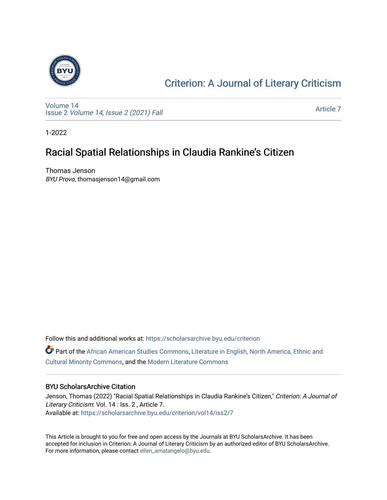

### [Criterion: A Journal of Literary Criticism](https://scholarsarchive.byu.edu/criterion)

[Volume 14](https://scholarsarchive.byu.edu/criterion/vol14) Issue 2 [Volume 14, Issue 2 \(2021\) Fall](https://scholarsarchive.byu.edu/criterion/vol14/iss2)

[Article 7](https://scholarsarchive.byu.edu/criterion/vol14/iss2/7) 

1-2022

### Racial Spatial Relationships in Claudia Rankine's Citizen

Thomas Jenson BYU Provo, thomasjenson14@gmail.com

Follow this and additional works at: [https://scholarsarchive.byu.edu/criterion](https://scholarsarchive.byu.edu/criterion?utm_source=scholarsarchive.byu.edu%2Fcriterion%2Fvol14%2Fiss2%2F7&utm_medium=PDF&utm_campaign=PDFCoverPages) 

Part of the [African American Studies Commons,](http://network.bepress.com/hgg/discipline/567?utm_source=scholarsarchive.byu.edu%2Fcriterion%2Fvol14%2Fiss2%2F7&utm_medium=PDF&utm_campaign=PDFCoverPages) [Literature in English, North America, Ethnic and](http://network.bepress.com/hgg/discipline/459?utm_source=scholarsarchive.byu.edu%2Fcriterion%2Fvol14%2Fiss2%2F7&utm_medium=PDF&utm_campaign=PDFCoverPages)  [Cultural Minority Commons,](http://network.bepress.com/hgg/discipline/459?utm_source=scholarsarchive.byu.edu%2Fcriterion%2Fvol14%2Fiss2%2F7&utm_medium=PDF&utm_campaign=PDFCoverPages) and the [Modern Literature Commons](http://network.bepress.com/hgg/discipline/1050?utm_source=scholarsarchive.byu.edu%2Fcriterion%2Fvol14%2Fiss2%2F7&utm_medium=PDF&utm_campaign=PDFCoverPages)

#### BYU ScholarsArchive Citation

Jenson, Thomas (2022) "Racial Spatial Relationships in Claudia Rankine's Citizen," Criterion: A Journal of Literary Criticism: Vol. 14 : Iss. 2 , Article 7. Available at: [https://scholarsarchive.byu.edu/criterion/vol14/iss2/7](https://scholarsarchive.byu.edu/criterion/vol14/iss2/7?utm_source=scholarsarchive.byu.edu%2Fcriterion%2Fvol14%2Fiss2%2F7&utm_medium=PDF&utm_campaign=PDFCoverPages)

This Article is brought to you for free and open access by the Journals at BYU ScholarsArchive. It has been accepted for inclusion in Criterion: A Journal of Literary Criticism by an authorized editor of BYU ScholarsArchive. For more information, please contact [ellen\\_amatangelo@byu.edu.](mailto:ellen_amatangelo@byu.edu)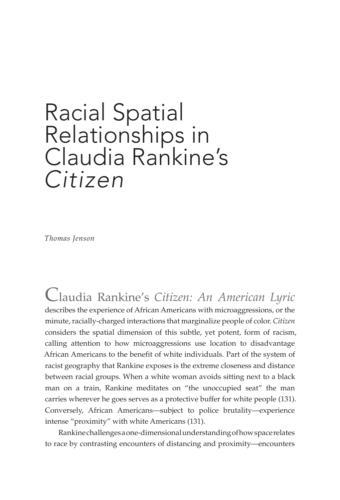# Racial Spatial Relationships in Claudia Rankine's *Citizen*

*Thomas Jenson*

Claudia Rankine's *Citizen: An American Lyric*  describes the experience of African Americans with microaggressions, or the minute, racially-charged interactions that marginalize people of color. *Citizen* considers the spatial dimension of this subtle, yet potent, form of racism, calling attention to how microaggressions use location to disadvantage African Americans to the benefit of white individuals. Part of the system of racist geography that Rankine exposes is the extreme closeness and distance between racial groups. When a white woman avoids sitting next to a black man on a train, Rankine meditates on "the unoccupied seat" the man carries wherever he goes serves as a protective buffer for white people (131). Conversely, African Americans—subject to police brutality—experience intense "proximity" with white Americans (131).

Rankine challenges a one-dimensional understanding of how space relates to race by contrasting encounters of distancing and proximity—encounters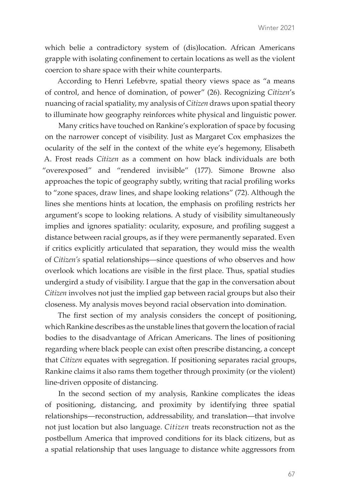which belie a contradictory system of (dis)location. African Americans grapple with isolating confinement to certain locations as well as the violent coercion to share space with their white counterparts.

According to Henri Lefebvre, spatial theory views space as "a means of control, and hence of domination, of power" (26). Recognizing *Citizen*'s nuancing of racial spatiality, my analysis of *Citizen* draws upon spatial theory to illuminate how geography reinforces white physical and linguistic power.

Many critics have touched on Rankine's exploration of space by focusing on the narrower concept of visibility. Just as Margaret Cox emphasizes the ocularity of the self in the context of the white eye's hegemony, Elisabeth A. Frost reads *Citizen* as a comment on how black individuals are both "overexposed" and "rendered invisible" (177). Simone Browne also approaches the topic of geography subtly, writing that racial profiling works to "zone spaces, draw lines, and shape looking relations" (72). Although the lines she mentions hints at location, the emphasis on profiling restricts her argument's scope to looking relations. A study of visibility simultaneously implies and ignores spatiality: ocularity, exposure, and profiling suggest a distance between racial groups, as if they were permanently separated. Even if critics explicitly articulated that separation, they would miss the wealth of *Citizen's* spatial relationships—since questions of who observes and how overlook which locations are visible in the first place. Thus, spatial studies undergird a study of visibility. I argue that the gap in the conversation about *Citizen* involves not just the implied gap between racial groups but also their closeness. My analysis moves beyond racial observation into domination.

The first section of my analysis considers the concept of positioning, which Rankine describes as the unstable lines that govern the location of racial bodies to the disadvantage of African Americans. The lines of positioning regarding where black people can exist often prescribe distancing, a concept that *Citizen* equates with segregation. If positioning separates racial groups, Rankine claims it also rams them together through proximity (or the violent) line-driven opposite of distancing.

In the second section of my analysis, Rankine complicates the ideas of positioning, distancing, and proximity by identifying three spatial relationships—reconstruction, addressability, and translation—that involve not just location but also language. *Citizen* treats reconstruction not as the postbellum America that improved conditions for its black citizens, but as a spatial relationship that uses language to distance white aggressors from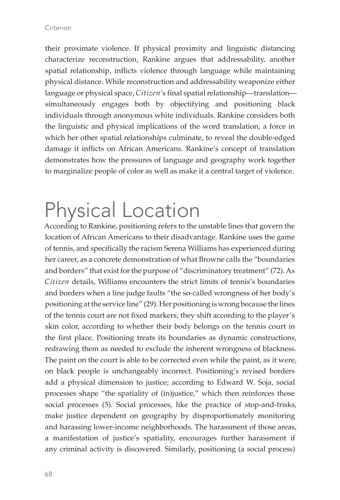their proximate violence. If physical proximity and linguistic distancing characterize reconstruction, Rankine argues that addressability, another spatial relationship, inflicts violence through language while maintaining physical distance. While reconstruction and addressability weaponize either language or physical space, *Citizen*'s final spatial relationship—translation simultaneously engages both by objectifying and positioning black individuals through anonymous white individuals. Rankine considers both the linguistic and physical implications of the word translation, a force in which her other spatial relationships culminate, to reveal the double-edged damage it inflicts on African Americans. Rankine's concept of translation demonstrates how the pressures of language and geography work together to marginalize people of color as well as make it a central target of violence.

# Physical Location

According to Rankine, positioning refers to the unstable lines that govern the location of African Americans to their disadvantage. Rankine uses the game of tennis, and specifically the racism Serena Williams has experienced during her career, as a concrete demonstration of what Browne calls the "boundaries and borders" that exist for the purpose of "discriminatory treatment" (72). As *Citizen* details, Williams encounters the strict limits of tennis's boundaries and borders when a line judge faults "the so-called wrongness of her body's positioning at the service line" (29). Her positioning is wrong because the lines of the tennis court are not fixed markers; they shift according to the player's skin color, according to whether their body belongs on the tennis court in the first place. Positioning treats its boundaries as dynamic constructions, redrawing them as needed to exclude the inherent wrongness of blackness. The paint on the court is able to be corrected even while the paint, as it were, on black people is unchangeably incorrect. Positioning's revised borders add a physical dimension to justice; according to Edward W. Soja, social processes shape "the spatiality of (in)justice," which then reinforces those social processes (5). Social processes, like the practice of stop-and-frisks, make justice dependent on geography by disproportionately monitoring and harassing lower-income neighborhoods. The harassment of those areas, a manifestation of justice's spatiality, encourages further harassment if any criminal activity is discovered. Similarly, positioning (a social process)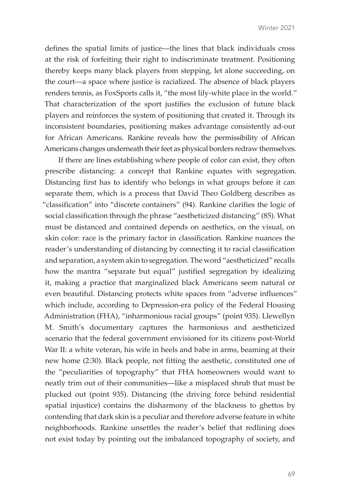defines the spatial limits of justice—the lines that black individuals cross at the risk of forfeiting their right to indiscriminate treatment. Positioning thereby keeps many black players from stepping, let alone succeeding, on the court—a space where justice is racialized. The absence of black players renders tennis, as FoxSports calls it, "the most lily-white place in the world." That characterization of the sport justifies the exclusion of future black players and reinforces the system of positioning that created it. Through its inconsistent boundaries, positioning makes advantage consistently ad-out for African Americans. Rankine reveals how the permissibility of African Americans changes underneath their feet as physical borders redraw themselves.

If there are lines establishing where people of color can exist, they often prescribe distancing: a concept that Rankine equates with segregation. Distancing first has to identify who belongs in what groups before it can separate them, which is a process that David Theo Goldberg describes as "classification" into "discrete containers" (94). Rankine clarifies the logic of social classification through the phrase "aestheticized distancing" (85). What must be distanced and contained depends on aesthetics, on the visual, on skin color: race is the primary factor in classification. Rankine nuances the reader's understanding of distancing by connecting it to racial classification and separation, a system akin to segregation. The word "aestheticized" recalls how the mantra "separate but equal" justified segregation by idealizing it, making a practice that marginalized black Americans seem natural or even beautiful. Distancing protects white spaces from "adverse influences" which include, according to Depression-era policy of the Federal Housing Administration (FHA), "inharmonious racial groups" (point 935). Llewellyn M. Smith's documentary captures the harmonious and aestheticized scenario that the federal government envisioned for its citizens post-World War II: a white veteran, his wife in heels and babe in arms, beaming at their new home (2:30). Black people, not fitting the aesthetic, constituted one of the "peculiarities of topography" that FHA homeowners would want to neatly trim out of their communities—like a misplaced shrub that must be plucked out (point 935). Distancing (the driving force behind residential spatial injustice) contains the disharmony of the blackness to ghettos by contending that dark skin is a peculiar and therefore adverse feature in white neighborhoods. Rankine unsettles the reader's belief that redlining does not exist today by pointing out the imbalanced topography of society, and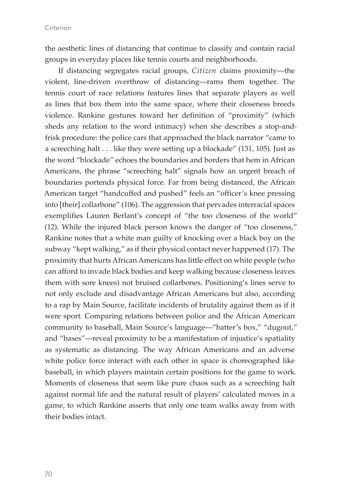the aesthetic lines of distancing that continue to classify and contain racial groups in everyday places like tennis courts and neighborhoods.

If distancing segregates racial groups, *Citizen* claims proximity—the violent, line-driven overthrow of distancing—rams them together. The tennis court of race relations features lines that separate players as well as lines that box them into the same space, where their closeness breeds violence. Rankine gestures toward her definition of "proximity" (which sheds any relation to the word intimacy) when she describes a stop-andfrisk procedure: the police cars that approached the black narrator "came to a screeching halt . . . like they were setting up a blockade" (131, 105). Just as the word "blockade" echoes the boundaries and borders that hem in African Americans, the phrase "screeching halt" signals how an urgent breach of boundaries portends physical force. Far from being distanced, the African American target "handcuffed and pushed" feels an "officer's knee pressing into [their] collarbone" (106). The aggression that pervades interracial spaces exemplifies Lauren Berlant's concept of "the too closeness of the world" (12). While the injured black person knows the danger of "too closeness," Rankine notes that a white man guilty of knocking over a black boy on the subway "kept walking," as if their physical contact never happened (17). The proximity that hurts African Americans has little effect on white people (who can afford to invade black bodies and keep walking because closeness leaves them with sore knees) not bruised collarbones. Positioning's lines serve to not only exclude and disadvantage African Americans but also, according to a rap by Main Source, facilitate incidents of brutality against them as if it were sport. Comparing relations between police and the African American community to baseball, Main Source's language—"batter's box," "dugout," and "bases"—reveal proximity to be a manifestation of injustice's spatiality as systematic as distancing. The way African Americans and an adverse white police force interact with each other in space is choreographed like baseball, in which players maintain certain positions for the game to work. Moments of closeness that seem like pure chaos such as a screeching halt against normal life and the natural result of players' calculated moves in a game, to which Rankine asserts that only one team walks away from with their bodies intact.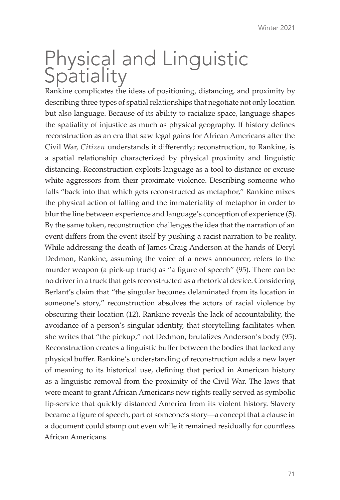## Physical and Linguistic **Spatiality**

Rankine complicates the ideas of positioning, distancing, and proximity by describing three types of spatial relationships that negotiate not only location but also language. Because of its ability to racialize space, language shapes the spatiality of injustice as much as physical geography. If history defines reconstruction as an era that saw legal gains for African Americans after the Civil War, *Citizen* understands it differently; reconstruction, to Rankine, is a spatial relationship characterized by physical proximity and linguistic distancing. Reconstruction exploits language as a tool to distance or excuse white aggressors from their proximate violence. Describing someone who falls "back into that which gets reconstructed as metaphor," Rankine mixes the physical action of falling and the immateriality of metaphor in order to blur the line between experience and language's conception of experience (5). By the same token, reconstruction challenges the idea that the narration of an event differs from the event itself by pushing a racist narration to be reality. While addressing the death of James Craig Anderson at the hands of Deryl Dedmon, Rankine, assuming the voice of a news announcer, refers to the murder weapon (a pick-up truck) as "a figure of speech" (95). There can be no driver in a truck that gets reconstructed as a rhetorical device. Considering Berlant's claim that "the singular becomes delaminated from its location in someone's story," reconstruction absolves the actors of racial violence by obscuring their location (12). Rankine reveals the lack of accountability, the avoidance of a person's singular identity, that storytelling facilitates when she writes that "the pickup," not Dedmon, brutalizes Anderson's body (95). Reconstruction creates a linguistic buffer between the bodies that lacked any physical buffer. Rankine's understanding of reconstruction adds a new layer of meaning to its historical use, defining that period in American history as a linguistic removal from the proximity of the Civil War. The laws that were meant to grant African Americans new rights really served as symbolic lip-service that quickly distanced America from its violent history. Slavery became a figure of speech, part of someone's story—a concept that a clause in a document could stamp out even while it remained residually for countless African Americans.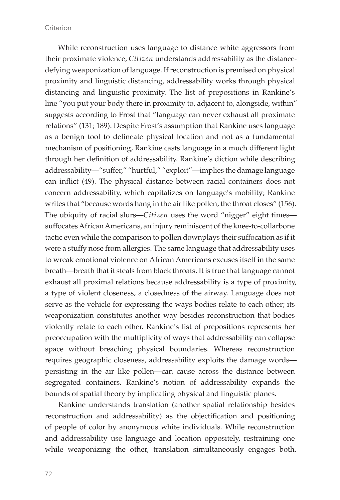While reconstruction uses language to distance white aggressors from their proximate violence, *Citizen* understands addressability as the distancedefying weaponization of language. If reconstruction is premised on physical proximity and linguistic distancing, addressability works through physical distancing and linguistic proximity. The list of prepositions in Rankine's line "you put your body there in proximity to, adjacent to, alongside, within" suggests according to Frost that "language can never exhaust all proximate relations" (131; 189). Despite Frost's assumption that Rankine uses language as a benign tool to delineate physical location and not as a fundamental mechanism of positioning, Rankine casts language in a much different light through her definition of addressability. Rankine's diction while describing addressability—"suffer," "hurtful," "exploit"—implies the damage language can inflict (49). The physical distance between racial containers does not concern addressability, which capitalizes on language's mobility; Rankine writes that "because words hang in the air like pollen, the throat closes" (156). The ubiquity of racial slurs—*Citizen* uses the word "nigger" eight times suffocates African Americans, an injury reminiscent of the knee-to-collarbone tactic even while the comparison to pollen downplays their suffocation as if it were a stuffy nose from allergies. The same language that addressability uses to wreak emotional violence on African Americans excuses itself in the same breath—breath that it steals from black throats. It is true that language cannot exhaust all proximal relations because addressability is a type of proximity, a type of violent closeness, a closedness of the airway. Language does not serve as the vehicle for expressing the ways bodies relate to each other; its weaponization constitutes another way besides reconstruction that bodies violently relate to each other. Rankine's list of prepositions represents her preoccupation with the multiplicity of ways that addressability can collapse space without breaching physical boundaries. Whereas reconstruction requires geographic closeness, addressability exploits the damage words persisting in the air like pollen—can cause across the distance between segregated containers. Rankine's notion of addressability expands the bounds of spatial theory by implicating physical and linguistic planes.

Rankine understands translation (another spatial relationship besides reconstruction and addressability) as the objectification and positioning of people of color by anonymous white individuals. While reconstruction and addressability use language and location oppositely, restraining one while weaponizing the other, translation simultaneously engages both.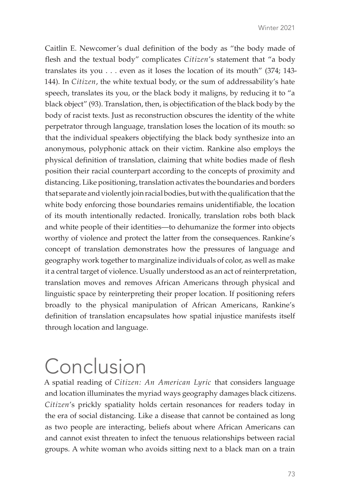Caitlin E. Newcomer's dual definition of the body as "the body made of flesh and the textual body" complicates *Citizen*'s statement that "a body translates its you . . . even as it loses the location of its mouth" (374; 143- 144). In *Citizen*, the white textual body, or the sum of addressability's hate speech, translates its you, or the black body it maligns, by reducing it to "a black object" (93). Translation, then, is objectification of the black body by the body of racist texts. Just as reconstruction obscures the identity of the white perpetrator through language, translation loses the location of its mouth: so that the individual speakers objectifying the black body synthesize into an anonymous, polyphonic attack on their victim. Rankine also employs the physical definition of translation, claiming that white bodies made of flesh position their racial counterpart according to the concepts of proximity and distancing. Like positioning, translation activates the boundaries and borders that separate and violently join racial bodies, but with the qualification that the white body enforcing those boundaries remains unidentifiable, the location of its mouth intentionally redacted. Ironically, translation robs both black and white people of their identities—to dehumanize the former into objects worthy of violence and protect the latter from the consequences. Rankine's concept of translation demonstrates how the pressures of language and geography work together to marginalize individuals of color, as well as make it a central target of violence. Usually understood as an act of reinterpretation, translation moves and removes African Americans through physical and linguistic space by reinterpreting their proper location. If positioning refers broadly to the physical manipulation of African Americans, Rankine's definition of translation encapsulates how spatial injustice manifests itself through location and language.

# Conclusion

A spatial reading of *Citizen: An American Lyric* that considers language and location illuminates the myriad ways geography damages black citizens. *Citizen*'s prickly spatiality holds certain resonances for readers today in the era of social distancing. Like a disease that cannot be contained as long as two people are interacting, beliefs about where African Americans can and cannot exist threaten to infect the tenuous relationships between racial groups. A white woman who avoids sitting next to a black man on a train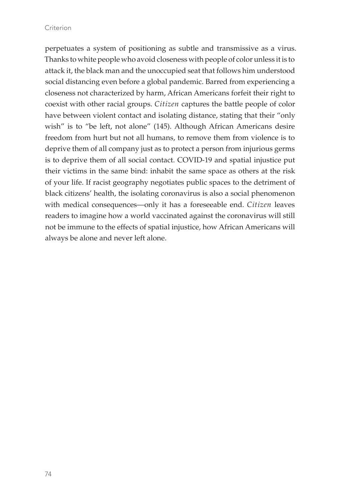#### **Criterion**

perpetuates a system of positioning as subtle and transmissive as a virus. Thanks to white people who avoid closeness with people of color unless it is to attack it, the black man and the unoccupied seat that follows him understood social distancing even before a global pandemic. Barred from experiencing a closeness not characterized by harm, African Americans forfeit their right to coexist with other racial groups. *Citizen* captures the battle people of color have between violent contact and isolating distance, stating that their "only wish" is to "be left, not alone" (145). Although African Americans desire freedom from hurt but not all humans, to remove them from violence is to deprive them of all company just as to protect a person from injurious germs is to deprive them of all social contact. COVID-19 and spatial injustice put their victims in the same bind: inhabit the same space as others at the risk of your life. If racist geography negotiates public spaces to the detriment of black citizens' health, the isolating coronavirus is also a social phenomenon with medical consequences—only it has a foreseeable end. *Citizen* leaves readers to imagine how a world vaccinated against the coronavirus will still not be immune to the effects of spatial injustice, how African Americans will always be alone and never left alone.